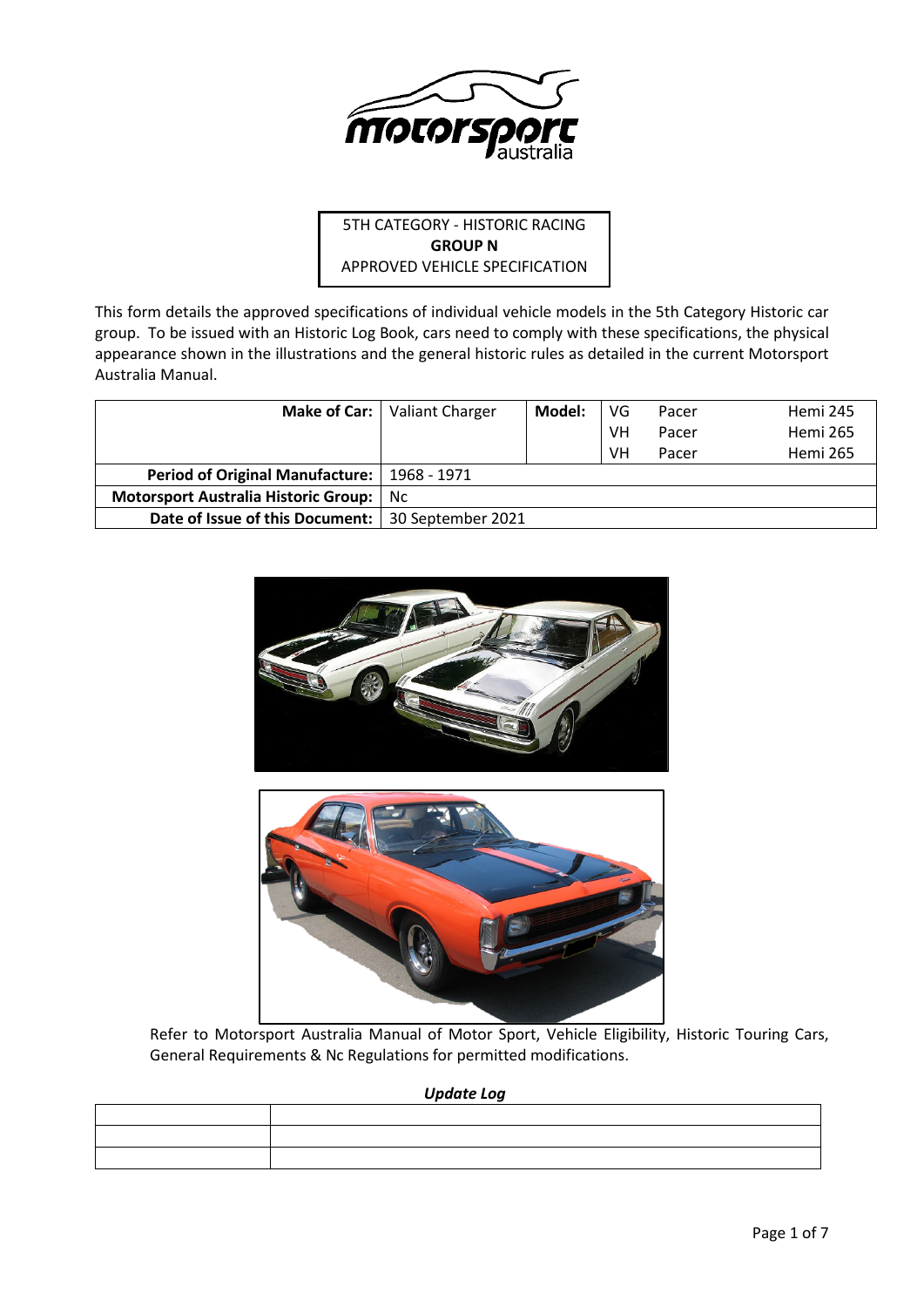

# 5TH CATEGORY - HISTORIC RACING **GROUP N** APPROVED VEHICLE SPECIFICATION

This form details the approved specifications of individual vehicle models in the 5th Category Historic car group. To be issued with an Historic Log Book, cars need to comply with these specifications, the physical appearance shown in the illustrations and the general historic rules as detailed in the current Motorsport Australia Manual.

| Make of Car:                                        | Valiant Charger | Model: | VG | Pacer | Hemi 245        |
|-----------------------------------------------------|-----------------|--------|----|-------|-----------------|
|                                                     |                 |        | VH | Pacer | Hemi 265        |
|                                                     |                 |        | VH | Pacer | <b>Hemi 265</b> |
| <b>Period of Original Manufacture:</b>              | 1968 - 1971     |        |    |       |                 |
| Motorsport Australia Historic Group:                | Nc.             |        |    |       |                 |
| Date of Issue of this Document:   30 September 2021 |                 |        |    |       |                 |





Refer to Motorsport Australia Manual of Motor Sport, Vehicle Eligibility, Historic Touring Cars, General Requirements & Nc Regulations for permitted modifications.

*Update Log*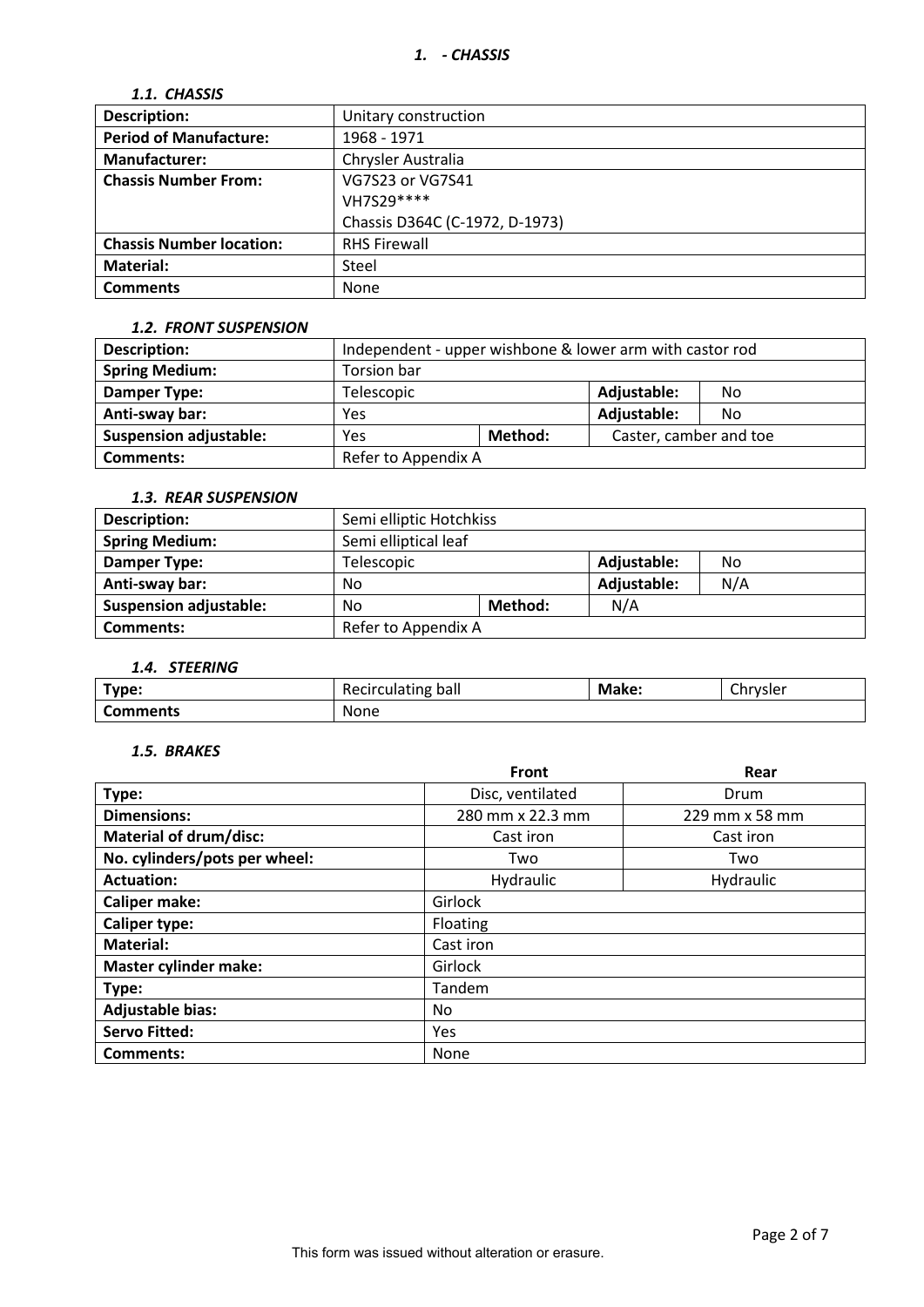# *1.1. CHASSIS*

| <b>Description:</b>             | Unitary construction           |
|---------------------------------|--------------------------------|
| <b>Period of Manufacture:</b>   | 1968 - 1971                    |
| <b>Manufacturer:</b>            | Chrysler Australia             |
| <b>Chassis Number From:</b>     | VG7S23 or VG7S41               |
|                                 | VH7S29 ****                    |
|                                 | Chassis D364C (C-1972, D-1973) |
| <b>Chassis Number location:</b> | <b>RHS Firewall</b>            |
| Material:                       | Steel                          |
| <b>Comments</b>                 | None                           |

#### *1.2. FRONT SUSPENSION*

| Description:                  | Independent - upper wishbone & lower arm with castor rod |  |                        |    |  |
|-------------------------------|----------------------------------------------------------|--|------------------------|----|--|
| <b>Spring Medium:</b>         | Torsion bar                                              |  |                        |    |  |
| Damper Type:                  | Telescopic                                               |  | Adjustable:            | No |  |
| Anti-sway bar:                | Yes                                                      |  | Adjustable:            | No |  |
| <b>Suspension adjustable:</b> | Method:<br>Yes                                           |  | Caster, camber and toe |    |  |
| <b>Comments:</b>              | Refer to Appendix A                                      |  |                        |    |  |

### *1.3. REAR SUSPENSION*

| <b>Description:</b>           |                      | Semi elliptic Hotchkiss |             |     |  |  |
|-------------------------------|----------------------|-------------------------|-------------|-----|--|--|
| <b>Spring Medium:</b>         | Semi elliptical leaf |                         |             |     |  |  |
| Damper Type:                  | Telescopic           |                         | Adjustable: | No  |  |  |
| Anti-sway bar:                | No                   |                         | Adjustable: | N/A |  |  |
| <b>Suspension adjustable:</b> | Method:<br>No        |                         | N/A         |     |  |  |
| <b>Comments:</b>              | Refer to Appendix A  |                         |             |     |  |  |

## *1.4. STEERING*

| __              |                    |       |               |
|-----------------|--------------------|-------|---------------|
| Type:           | Recirculating ball | Make: | -<br>Chrysler |
| <b>Comments</b> | <b>None</b>        |       |               |

### *1.5. BRAKES*

|                               | Front            | Rear           |  |  |  |
|-------------------------------|------------------|----------------|--|--|--|
| Type:                         | Disc, ventilated | Drum           |  |  |  |
| <b>Dimensions:</b>            | 280 mm x 22.3 mm | 229 mm x 58 mm |  |  |  |
| <b>Material of drum/disc:</b> | Cast iron        | Cast iron      |  |  |  |
| No. cylinders/pots per wheel: | Two              | Two            |  |  |  |
| <b>Actuation:</b>             | Hydraulic        | Hydraulic      |  |  |  |
| <b>Caliper make:</b>          | Girlock          |                |  |  |  |
| <b>Caliper type:</b>          | Floating         |                |  |  |  |
| <b>Material:</b>              | Cast iron        |                |  |  |  |
| <b>Master cylinder make:</b>  | Girlock          |                |  |  |  |
| Type:                         | Tandem           |                |  |  |  |
| <b>Adjustable bias:</b>       | No.              |                |  |  |  |
| <b>Servo Fitted:</b>          | Yes              |                |  |  |  |
| Comments:                     | None             |                |  |  |  |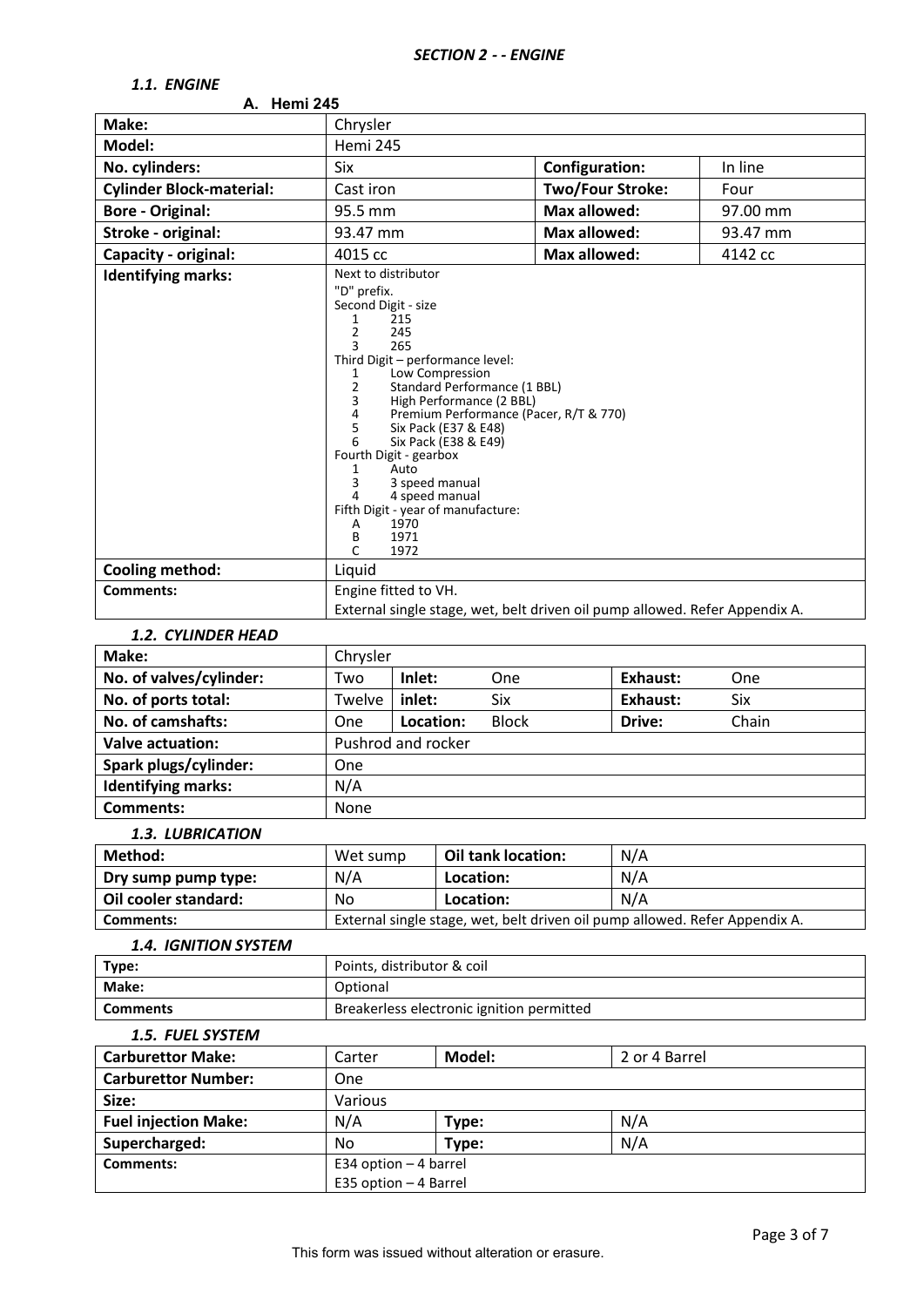# *1.1. ENGINE*

| A. Hemi 245                     |                                                                            |                                                                                                                                                                                                                                                                                                                                                                                                                 |                                                                             |                                 |          |  |  |
|---------------------------------|----------------------------------------------------------------------------|-----------------------------------------------------------------------------------------------------------------------------------------------------------------------------------------------------------------------------------------------------------------------------------------------------------------------------------------------------------------------------------------------------------------|-----------------------------------------------------------------------------|---------------------------------|----------|--|--|
| Make:                           | Chrysler                                                                   |                                                                                                                                                                                                                                                                                                                                                                                                                 |                                                                             |                                 |          |  |  |
| Model:                          |                                                                            | Hemi 245                                                                                                                                                                                                                                                                                                                                                                                                        |                                                                             |                                 |          |  |  |
| No. cylinders:                  | Six                                                                        |                                                                                                                                                                                                                                                                                                                                                                                                                 | <b>Configuration:</b>                                                       |                                 | In line  |  |  |
| <b>Cylinder Block-material:</b> |                                                                            | Cast iron                                                                                                                                                                                                                                                                                                                                                                                                       |                                                                             | <b>Two/Four Stroke:</b>         | Four     |  |  |
| <b>Bore - Original:</b>         | 95.5 mm                                                                    |                                                                                                                                                                                                                                                                                                                                                                                                                 |                                                                             | <b>Max allowed:</b><br>97.00 mm |          |  |  |
| Stroke - original:              | 93.47 mm                                                                   |                                                                                                                                                                                                                                                                                                                                                                                                                 | <b>Max allowed:</b>                                                         |                                 | 93.47 mm |  |  |
| Capacity - original:            | 4015 cc                                                                    |                                                                                                                                                                                                                                                                                                                                                                                                                 |                                                                             | <b>Max allowed:</b><br>4142 cc  |          |  |  |
| <b>Identifying marks:</b>       | 1<br>2<br>3<br>1<br>2<br>3<br>4<br>5<br>6<br>1<br>3<br>4<br>Α<br>В<br>1971 | Next to distributor<br>"D" prefix.<br>Second Digit - size<br>215<br>245<br>265<br>Third Digit - performance level:<br>Low Compression<br>Standard Performance (1 BBL)<br>High Performance (2 BBL)<br>Premium Performance (Pacer, R/T & 770)<br>Six Pack (E37 & E48)<br>Six Pack (E38 & E49)<br>Fourth Digit - gearbox<br>Auto<br>3 speed manual<br>4 speed manual<br>Fifth Digit - year of manufacture:<br>1970 |                                                                             |                                 |          |  |  |
|                                 | C                                                                          | 1972                                                                                                                                                                                                                                                                                                                                                                                                            |                                                                             |                                 |          |  |  |
| <b>Cooling method:</b>          | Liquid                                                                     |                                                                                                                                                                                                                                                                                                                                                                                                                 |                                                                             |                                 |          |  |  |
| Comments:                       |                                                                            | Engine fitted to VH.<br>External single stage, wet, belt driven oil pump allowed. Refer Appendix A.                                                                                                                                                                                                                                                                                                             |                                                                             |                                 |          |  |  |
|                                 |                                                                            |                                                                                                                                                                                                                                                                                                                                                                                                                 |                                                                             |                                 |          |  |  |
| <b>1.2. CYLINDER HEAD</b>       |                                                                            |                                                                                                                                                                                                                                                                                                                                                                                                                 |                                                                             |                                 |          |  |  |
| Make:                           | Chrysler                                                                   |                                                                                                                                                                                                                                                                                                                                                                                                                 |                                                                             |                                 |          |  |  |
| No. of valves/cylinder:         | Two                                                                        | Inlet:<br>One                                                                                                                                                                                                                                                                                                                                                                                                   |                                                                             | <b>Exhaust:</b>                 | One      |  |  |
| No. of ports total:             | Twelve                                                                     | inlet:<br>Six                                                                                                                                                                                                                                                                                                                                                                                                   |                                                                             | Exhaust:                        | Six      |  |  |
| No. of camshafts:               | One                                                                        | Location:<br><b>Block</b>                                                                                                                                                                                                                                                                                                                                                                                       |                                                                             | Drive:                          | Chain    |  |  |
| <b>Valve actuation:</b>         |                                                                            | Pushrod and rocker                                                                                                                                                                                                                                                                                                                                                                                              |                                                                             |                                 |          |  |  |
| Spark plugs/cylinder:           | One                                                                        |                                                                                                                                                                                                                                                                                                                                                                                                                 |                                                                             |                                 |          |  |  |
| <b>Identifying marks:</b>       | N/A                                                                        |                                                                                                                                                                                                                                                                                                                                                                                                                 |                                                                             |                                 |          |  |  |
| <b>Comments:</b>                | None                                                                       |                                                                                                                                                                                                                                                                                                                                                                                                                 |                                                                             |                                 |          |  |  |
| 1.3. LUBRICATION                |                                                                            |                                                                                                                                                                                                                                                                                                                                                                                                                 |                                                                             |                                 |          |  |  |
| Method:                         | Wet sump                                                                   | Oil tank location:                                                                                                                                                                                                                                                                                                                                                                                              | N/A                                                                         |                                 |          |  |  |
| Dry sump pump type:             | N/A                                                                        | Location:                                                                                                                                                                                                                                                                                                                                                                                                       | N/A                                                                         |                                 |          |  |  |
| Oil cooler standard:            | No                                                                         | Location:                                                                                                                                                                                                                                                                                                                                                                                                       | N/A                                                                         |                                 |          |  |  |
| Comments:                       |                                                                            |                                                                                                                                                                                                                                                                                                                                                                                                                 | External single stage, wet, belt driven oil pump allowed. Refer Appendix A. |                                 |          |  |  |
| <b>1.4. IGNITION SYSTEM</b>     |                                                                            |                                                                                                                                                                                                                                                                                                                                                                                                                 |                                                                             |                                 |          |  |  |
| Type:                           |                                                                            | Points, distributor & coil                                                                                                                                                                                                                                                                                                                                                                                      |                                                                             |                                 |          |  |  |
| Make:                           | Optional                                                                   |                                                                                                                                                                                                                                                                                                                                                                                                                 |                                                                             |                                 |          |  |  |
| <b>Comments</b>                 |                                                                            | Breakerless electronic ignition permitted                                                                                                                                                                                                                                                                                                                                                                       |                                                                             |                                 |          |  |  |
| 1.5. FUEL SYSTEM                |                                                                            |                                                                                                                                                                                                                                                                                                                                                                                                                 |                                                                             |                                 |          |  |  |
| <b>Carburettor Make:</b>        | Carter                                                                     | Model:                                                                                                                                                                                                                                                                                                                                                                                                          |                                                                             | 2 or 4 Barrel                   |          |  |  |
| <b>Carburettor Number:</b>      | One                                                                        |                                                                                                                                                                                                                                                                                                                                                                                                                 |                                                                             |                                 |          |  |  |
| Size:                           |                                                                            |                                                                                                                                                                                                                                                                                                                                                                                                                 |                                                                             |                                 |          |  |  |
|                                 |                                                                            | Various                                                                                                                                                                                                                                                                                                                                                                                                         |                                                                             |                                 |          |  |  |

**Fuel injection Make:**  $N/A$  **Type:**  $N/A$  N/A **Supercharged:** No **Type:** N/A

E35 option – 4 Barrel

**Comments:** E34 option – 4 barrel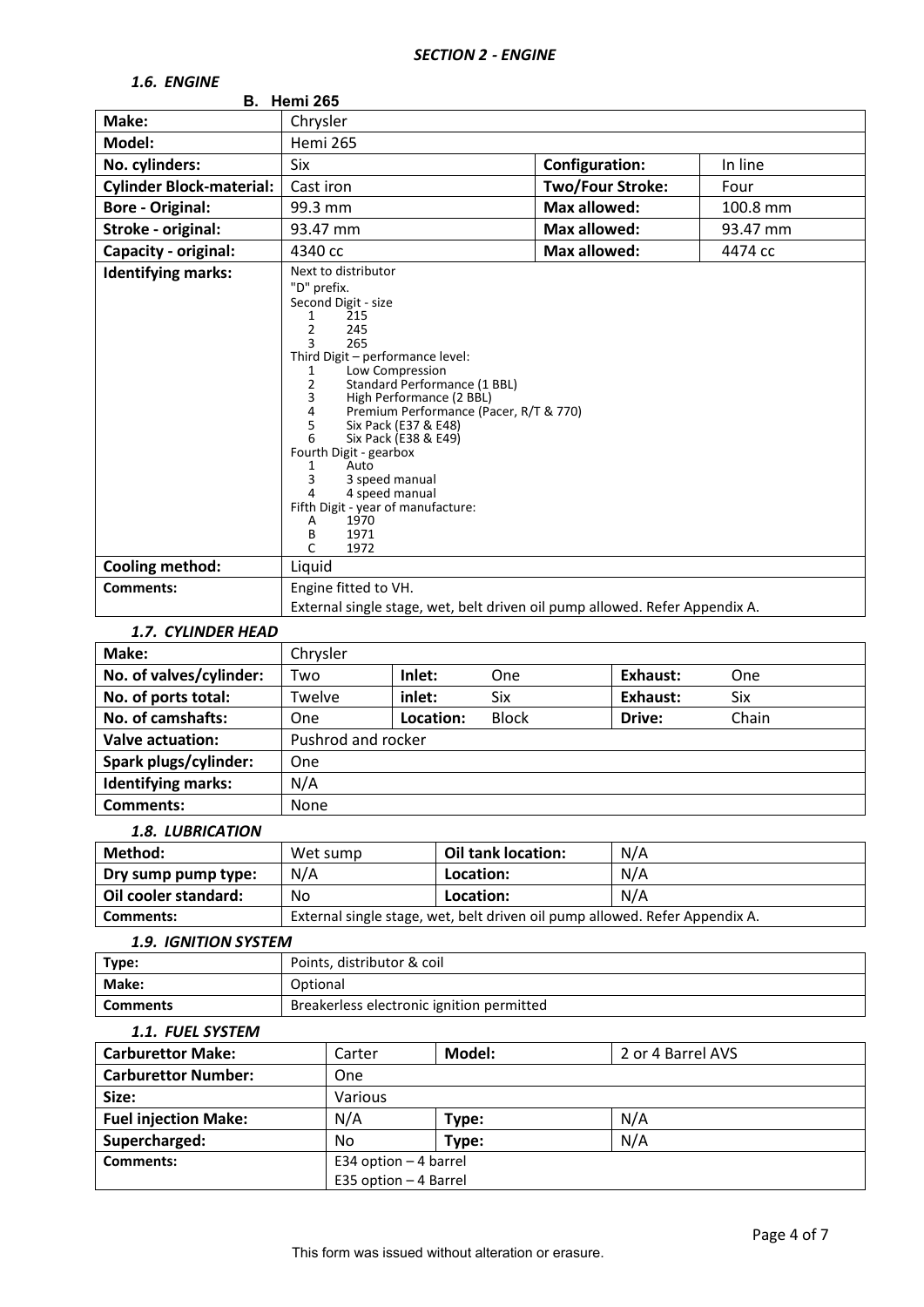# *1.6. ENGINE*

| 1.U. LIVUIIVL                              | <b>B.</b> Hemi 265                                                                                                                                                                                                                                                                                                                                                                                                                                                                                                                   |                         |          |
|--------------------------------------------|--------------------------------------------------------------------------------------------------------------------------------------------------------------------------------------------------------------------------------------------------------------------------------------------------------------------------------------------------------------------------------------------------------------------------------------------------------------------------------------------------------------------------------------|-------------------------|----------|
| Make:                                      | Chrysler                                                                                                                                                                                                                                                                                                                                                                                                                                                                                                                             |                         |          |
| Model:                                     | <b>Hemi 265</b>                                                                                                                                                                                                                                                                                                                                                                                                                                                                                                                      |                         |          |
| No. cylinders:                             | Six                                                                                                                                                                                                                                                                                                                                                                                                                                                                                                                                  | <b>Configuration:</b>   | In line  |
| <b>Cylinder Block-material:</b>            | Cast iron                                                                                                                                                                                                                                                                                                                                                                                                                                                                                                                            | <b>Two/Four Stroke:</b> | Four     |
| <b>Bore - Original:</b>                    | 99.3 mm                                                                                                                                                                                                                                                                                                                                                                                                                                                                                                                              | <b>Max allowed:</b>     | 100.8 mm |
| Stroke - original:                         | 93.47 mm                                                                                                                                                                                                                                                                                                                                                                                                                                                                                                                             | <b>Max allowed:</b>     | 93.47 mm |
| Capacity - original:                       | 4340 cc                                                                                                                                                                                                                                                                                                                                                                                                                                                                                                                              | <b>Max allowed:</b>     | 4474 cc  |
| <b>Identifying marks:</b>                  | Next to distributor<br>"D" prefix.<br>Second Digit - size<br>215<br>1<br>$\overline{2}$<br>245<br>3<br>265<br>Third Digit - performance level:<br>Low Compression<br>1<br>2<br>Standard Performance (1 BBL)<br>High Performance (2 BBL)<br>3<br>Premium Performance (Pacer, R/T & 770)<br>4<br>5<br>Six Pack (E37 & E48)<br>6<br>Six Pack (E38 & E49)<br>Fourth Digit - gearbox<br>Auto<br>1<br>3<br>3 speed manual<br>4 speed manual<br>$\overline{4}$<br>Fifth Digit - year of manufacture:<br>1970<br>Α<br>1971<br>В<br>C<br>1972 |                         |          |
| <b>Cooling method:</b><br><b>Comments:</b> | Liquid<br>Engine fitted to VH.                                                                                                                                                                                                                                                                                                                                                                                                                                                                                                       |                         |          |
|                                            | External single stage, wet, belt driven oil pump allowed. Refer Appendix A.                                                                                                                                                                                                                                                                                                                                                                                                                                                          |                         |          |

### *1.7. CYLINDER HEAD*

| Make:                     | Chrysler           |           |              |                 |       |
|---------------------------|--------------------|-----------|--------------|-----------------|-------|
| No. of valves/cylinder:   | Two                | Inlet:    | <b>One</b>   | Exhaust:        | One   |
| No. of ports total:       | Twelve             | inlet:    | Six          | <b>Exhaust:</b> | Six   |
| No. of camshafts:         | One                | Location: | <b>Block</b> | Drive:          | Chain |
| <b>Valve actuation:</b>   | Pushrod and rocker |           |              |                 |       |
| Spark plugs/cylinder:     | One                |           |              |                 |       |
| <b>Identifying marks:</b> | N/A                |           |              |                 |       |
| <b>Comments:</b>          | None               |           |              |                 |       |

# *1.8. LUBRICATION*

| Method:              | Wet sump                                                                    | <b>Oil tank location:</b> | N/A |  |
|----------------------|-----------------------------------------------------------------------------|---------------------------|-----|--|
| Dry sump pump type:  | N/A                                                                         | Location:                 | N/A |  |
| Oil cooler standard: | No                                                                          | Location:                 | N/A |  |
| Comments:            | External single stage, wet, belt driven oil pump allowed. Refer Appendix A. |                           |     |  |

#### *1.9. IGNITION SYSTEM*

| _____________________ |                                           |
|-----------------------|-------------------------------------------|
| Type:                 | Points, distributor & coil                |
| <b>Make:</b>          | Optional                                  |
| <b>Comments</b>       | Breakerless electronic ignition permitted |

#### *1.1. FUEL SYSTEM*

| <b>Carburettor Make:</b>    | Model:<br>2 or 4 Barrel AVS<br>Carter |       |     |
|-----------------------------|---------------------------------------|-------|-----|
| <b>Carburettor Number:</b>  | One                                   |       |     |
| Size:                       | Various                               |       |     |
| <b>Fuel injection Make:</b> | N/A                                   | Type: | N/A |
| Supercharged:               | No                                    | Type: | N/A |
| Comments:                   | E34 option $-4$ barrel                |       |     |
|                             | E35 option - 4 Barrel                 |       |     |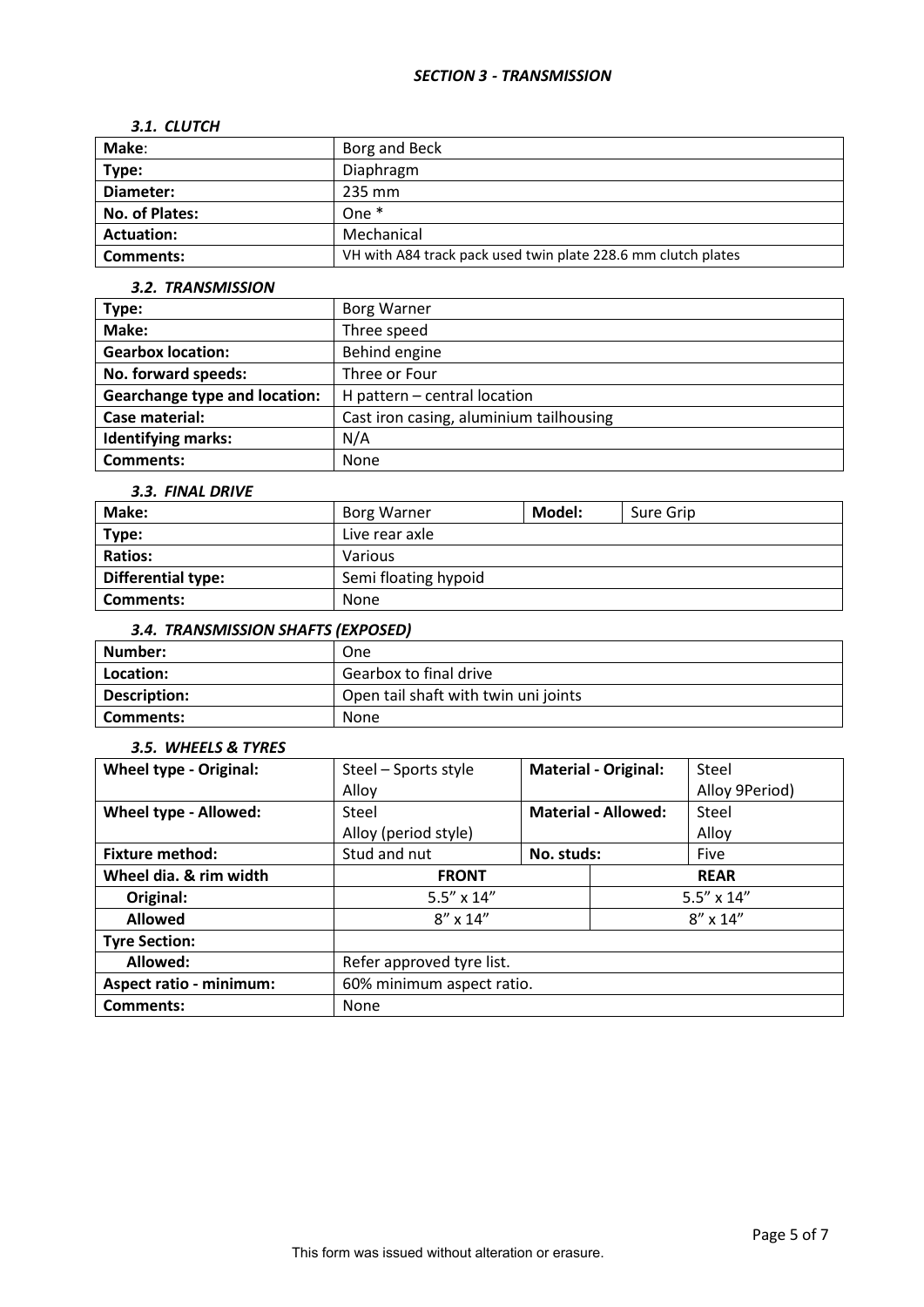#### *SECTION 3 - TRANSMISSION*

### *3.1. CLUTCH*

| Make:             | Borg and Beck                                                 |
|-------------------|---------------------------------------------------------------|
| Type:             | Diaphragm                                                     |
| Diameter:         | 235 mm                                                        |
| No. of Plates:    | One $*$                                                       |
| <b>Actuation:</b> | Mechanical                                                    |
| Comments:         | VH with A84 track pack used twin plate 228.6 mm clutch plates |

# *3.2. TRANSMISSION*

| Type:                                | <b>Borg Warner</b>                      |
|--------------------------------------|-----------------------------------------|
| Make:                                | Three speed                             |
| <b>Gearbox location:</b>             | Behind engine                           |
| No. forward speeds:                  | Three or Four                           |
| <b>Gearchange type and location:</b> | H pattern $-$ central location          |
| Case material:                       | Cast iron casing, aluminium tailhousing |
| <b>Identifying marks:</b>            | N/A                                     |
| <b>Comments:</b>                     | None                                    |

#### *3.3. FINAL DRIVE*

| Make:                     | Borg Warner          | Model: | Sure Grip |  |
|---------------------------|----------------------|--------|-----------|--|
| Type:                     | Live rear axle       |        |           |  |
| <b>Ratios:</b>            | Various              |        |           |  |
| <b>Differential type:</b> | Semi floating hypoid |        |           |  |
| Comments:                 | None                 |        |           |  |

# *3.4. TRANSMISSION SHAFTS (EXPOSED)*

| Number:      | One                                  |
|--------------|--------------------------------------|
| Location:    | Gearbox to final drive               |
| Description: | Open tail shaft with twin uni joints |
| Comments:    | <b>None</b>                          |

### *3.5. WHEELS & TYRES*

| <b>Wheel type - Original:</b>  | Steel - Sports style      |            | <b>Material - Original:</b> | Steel               |
|--------------------------------|---------------------------|------------|-----------------------------|---------------------|
|                                | Alloy                     |            |                             | Alloy 9Period)      |
| Wheel type - Allowed:          | Steel                     |            | <b>Material - Allowed:</b>  | Steel               |
|                                | Alloy (period style)      |            |                             | Alloy               |
| <b>Fixture method:</b>         | Stud and nut              | No. studs: |                             | Five                |
| Wheel dia. & rim width         | <b>FRONT</b>              |            | <b>REAR</b>                 |                     |
| Original:                      | $5.5'' \times 14''$       |            |                             | $5.5'' \times 14''$ |
| <b>Allowed</b>                 | $8'' \times 14''$         |            |                             | $8'' \times 14''$   |
| <b>Tyre Section:</b>           |                           |            |                             |                     |
| Allowed:                       | Refer approved tyre list. |            |                             |                     |
| <b>Aspect ratio - minimum:</b> | 60% minimum aspect ratio. |            |                             |                     |
| <b>Comments:</b>               | None                      |            |                             |                     |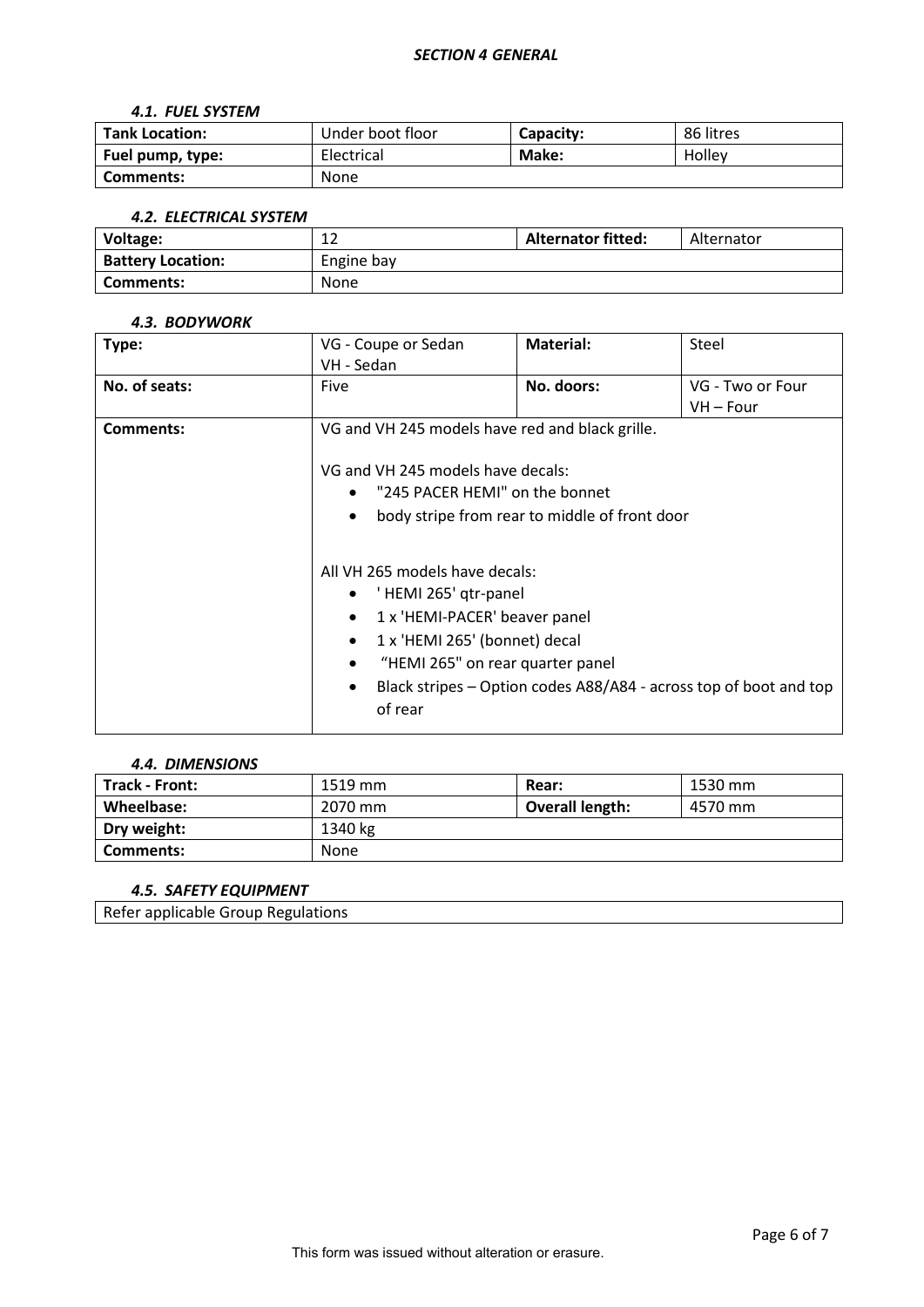# *4.1. FUEL SYSTEM*

| <b>Tank Location:</b> | Under boot floor | Capacity: | 86 litres |
|-----------------------|------------------|-----------|-----------|
| Fuel pump, type:      | Electrical       | Make:     | Holley    |
| Comments:             | <b>None</b>      |           |           |

# *4.2. ELECTRICAL SYSTEM*

| Voltage:                 | 1.3<br>∸   | <b>Alternator fitted:</b> | Alternator |
|--------------------------|------------|---------------------------|------------|
| <b>Battery Location:</b> | Engine bay |                           |            |
| Comments:                | None       |                           |            |

#### *4.3. BODYWORK*

| Type:         | VG - Coupe or Sedan               | Material:                                                                                                       | Steel                                                             |  |
|---------------|-----------------------------------|-----------------------------------------------------------------------------------------------------------------|-------------------------------------------------------------------|--|
|               | VH - Sedan                        |                                                                                                                 |                                                                   |  |
| No. of seats: | Five                              | No. doors:                                                                                                      | VG - Two or Four                                                  |  |
|               |                                   |                                                                                                                 | VH – Four                                                         |  |
| Comments:     |                                   | VG and VH 245 models have red and black grille.                                                                 |                                                                   |  |
|               | VG and VH 245 models have decals: |                                                                                                                 |                                                                   |  |
|               |                                   | "245 PACER HEMI" on the bonnet                                                                                  |                                                                   |  |
|               | $\bullet$                         | body stripe from rear to middle of front door                                                                   |                                                                   |  |
|               |                                   | All VH 265 models have decals:                                                                                  |                                                                   |  |
|               | 'HEMI 265' qtr-panel<br>$\bullet$ |                                                                                                                 |                                                                   |  |
|               | $\bullet$                         | 1 x 'HEMI-PACER' beaver panel<br>1 x 'HEMI 265' (bonnet) decal<br>$\bullet$<br>"HEMI 265" on rear quarter panel |                                                                   |  |
|               |                                   |                                                                                                                 |                                                                   |  |
|               |                                   |                                                                                                                 |                                                                   |  |
|               | $\bullet$                         |                                                                                                                 | Black stripes – Option codes A88/A84 - across top of boot and top |  |
|               | of rear                           |                                                                                                                 |                                                                   |  |

#### *4.4. DIMENSIONS*

| <b>Track - Front:</b> | 1519 mm | Rear:                  | 1530 mm |
|-----------------------|---------|------------------------|---------|
| Wheelbase:            | 2070 mm | <b>Overall length:</b> | 4570 mm |
| Dry weight:           | 1340 kg |                        |         |
| Comments:             | None    |                        |         |

# *4.5. SAFETY EQUIPMENT*

Refer applicable Group Regulations